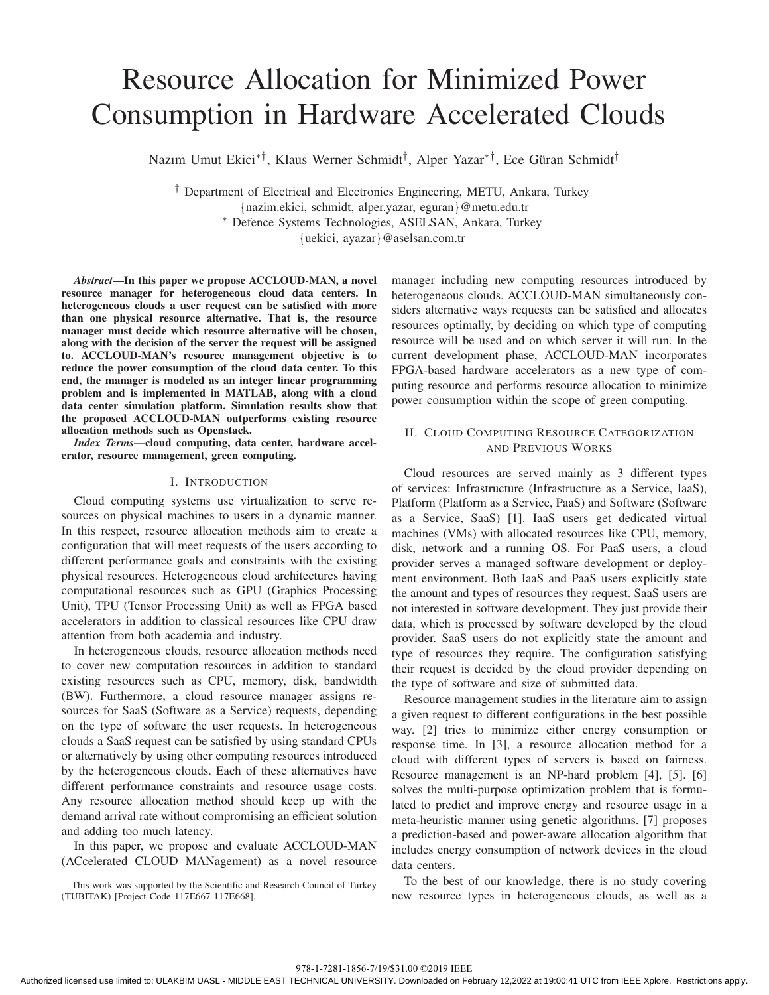# Resource Allocation for Minimized Power Consumption in Hardware Accelerated Clouds

Nazım Umut Ekici<sup>∗†</sup>, Klaus Werner Schmidt<sup>†</sup>, Alper Yazar<sup>∗†</sup>, Ece Güran Schmidt<sup>†</sup>

<sup>†</sup> Department of Electrical and Electronics Engineering, METU, Ankara, Turkey {nazim.ekici, schmidt, alper.yazar, eguran}@metu.edu.tr \* Defence Systems Technologies, ASELSAN, Ankara, Turkey {uekici, ayazar}@aselsan.com.tr

*Abstract*—In this paper we propose ACCLOUD-MAN, a novel resource manager for heterogeneous cloud data centers. In heterogeneous clouds a user request can be satisfied with more than one physical resource alternative. That is, the resource manager must decide which resource alternative will be chosen, along with the decision of the server the request will be assigned to. ACCLOUD-MAN's resource management objective is to reduce the power consumption of the cloud data center. To this end, the manager is modeled as an integer linear programming problem and is implemented in MATLAB, along with a cloud data center simulation platform. Simulation results show that the proposed ACCLOUD-MAN outperforms existing resource allocation methods such as Openstack.

*Index Terms*—cloud computing, data center, hardware accelerator, resource management, green computing.

## I. INTRODUCTION

Cloud computing systems use virtualization to serve resources on physical machines to users in a dynamic manner. In this respect, resource allocation methods aim to create a configuration that will meet requests of the users according to different performance goals and constraints with the existing physical resources. Heterogeneous cloud architectures having computational resources such as GPU (Graphics Processing Unit), TPU (Tensor Processing Unit) as well as FPGA based accelerators in addition to classical resources like CPU draw attention from both academia and industry.

In heterogeneous clouds, resource allocation methods need to cover new computation resources in addition to standard existing resources such as CPU, memory, disk, bandwidth (BW). Furthermore, a cloud resource manager assigns resources for SaaS (Software as a Service) requests, depending on the type of software the user requests. In heterogeneous clouds a SaaS request can be satisfied by using standard CPUs or alternatively by using other computing resources introduced by the heterogeneous clouds. Each of these alternatives have different performance constraints and resource usage costs. Any resource allocation method should keep up with the demand arrival rate without compromising an efficient solution and adding too much latency.

In this paper, we propose and evaluate ACCLOUD-MAN (ACcelerated CLOUD MANagement) as a novel resource

This work was supported by the Scientific and Research Council of Turkey (TUBITAK) [Project Code 117E667-117E668].

manager including new computing resources introduced by heterogeneous clouds. ACCLOUD-MAN simultaneously considers alternative ways requests can be satisfied and allocates resources optimally, by deciding on which type of computing resource will be used and on which server it will run. In the current development phase, ACCLOUD-MAN incorporates FPGA-based hardware accelerators as a new type of computing resource and performs resource allocation to minimize power consumption within the scope of green computing.

# II. CLOUD COMPUTING RESOURCE CATEGORIZATION AND PREVIOUS WORKS

Cloud resources are served mainly as 3 different types of services: Infrastructure (Infrastructure as a Service, IaaS), Platform (Platform as a Service, PaaS) and Software (Software as a Service, SaaS) [1]. IaaS users get dedicated virtual machines (VMs) with allocated resources like CPU, memory, disk, network and a running OS. For PaaS users, a cloud provider serves a managed software development or deployment environment. Both IaaS and PaaS users explicitly state the amount and types of resources they request. SaaS users are not interested in software development. They just provide their data, which is processed by software developed by the cloud provider. SaaS users do not explicitly state the amount and type of resources they require. The configuration satisfying their request is decided by the cloud provider depending on the type of software and size of submitted data.

Resource management studies in the literature aim to assign a given request to different configurations in the best possible way. [2] tries to minimize either energy consumption or response time. In [3], a resource allocation method for a cloud with different types of servers is based on fairness. Resource management is an NP-hard problem [4], [5]. [6] solves the multi-purpose optimization problem that is formulated to predict and improve energy and resource usage in a meta-heuristic manner using genetic algorithms. [7] proposes a prediction-based and power-aware allocation algorithm that includes energy consumption of network devices in the cloud data centers.

To the best of our knowledge, there is no study covering new resource types in heterogeneous clouds, as well as a

978-1-7281-1856-7/19/\$31.00 ©2019 IEEE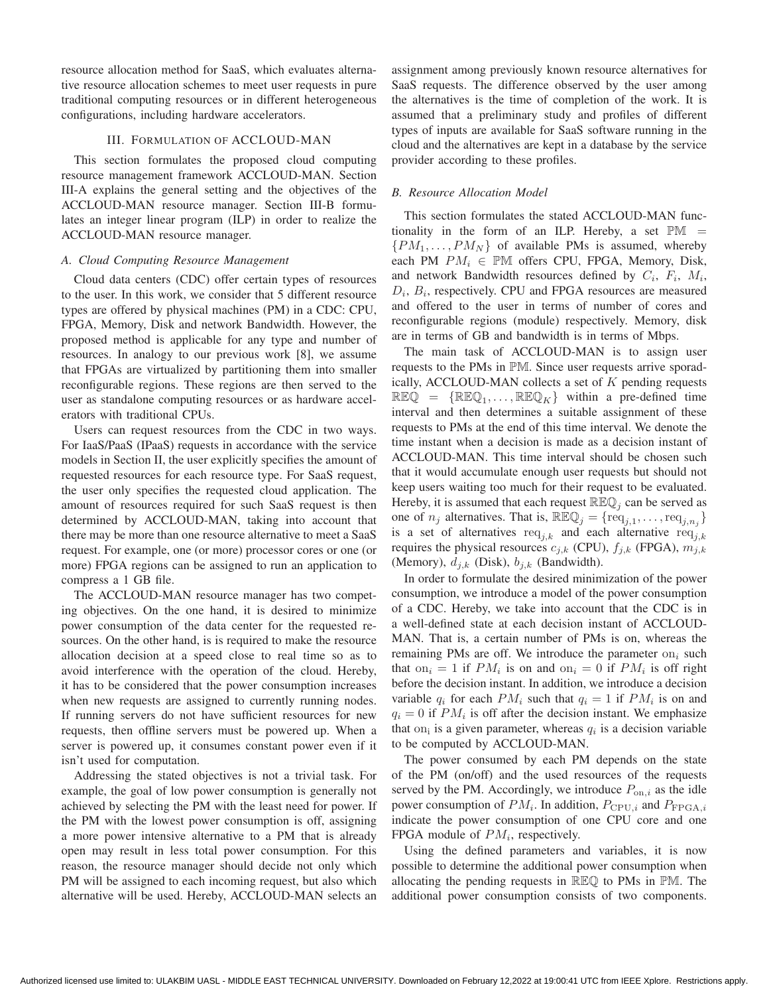resource allocation method for SaaS, which evaluates alternative resource allocation schemes to meet user requests in pure traditional computing resources or in different heterogeneous configurations, including hardware accelerators.

## III. FORMULATION OF ACCLOUD-MAN

This section formulates the proposed cloud computing resource management framework ACCLOUD-MAN. Section III-A explains the general setting and the objectives of the ACCLOUD-MAN resource manager. Section III-B formulates an integer linear program (ILP) in order to realize the ACCLOUD-MAN resource manager.

## *A. Cloud Computing Resource Management*

Cloud data centers (CDC) offer certain types of resources to the user. In this work, we consider that 5 different resource types are offered by physical machines (PM) in a CDC: CPU, FPGA, Memory, Disk and network Bandwidth. However, the proposed method is applicable for any type and number of resources. In analogy to our previous work [8], we assume that FPGAs are virtualized by partitioning them into smaller reconfigurable regions. These regions are then served to the user as standalone computing resources or as hardware accelerators with traditional CPUs.

Users can request resources from the CDC in two ways. For IaaS/PaaS (IPaaS) requests in accordance with the service models in Section II, the user explicitly specifies the amount of requested resources for each resource type. For SaaS request, the user only specifies the requested cloud application. The amount of resources required for such SaaS request is then determined by ACCLOUD-MAN, taking into account that there may be more than one resource alternative to meet a SaaS request. For example, one (or more) processor cores or one (or more) FPGA regions can be assigned to run an application to compress a 1 GB file.

The ACCLOUD-MAN resource manager has two competing objectives. On the one hand, it is desired to minimize power consumption of the data center for the requested resources. On the other hand, is is required to make the resource allocation decision at a speed close to real time so as to avoid interference with the operation of the cloud. Hereby, it has to be considered that the power consumption increases when new requests are assigned to currently running nodes. If running servers do not have sufficient resources for new requests, then offline servers must be powered up. When a server is powered up, it consumes constant power even if it isn't used for computation.

Addressing the stated objectives is not a trivial task. For example, the goal of low power consumption is generally not achieved by selecting the PM with the least need for power. If the PM with the lowest power consumption is off, assigning a more power intensive alternative to a PM that is already open may result in less total power consumption. For this reason, the resource manager should decide not only which PM will be assigned to each incoming request, but also which alternative will be used. Hereby, ACCLOUD-MAN selects an assignment among previously known resource alternatives for SaaS requests. The difference observed by the user among the alternatives is the time of completion of the work. It is assumed that a preliminary study and profiles of different types of inputs are available for SaaS software running in the cloud and the alternatives are kept in a database by the service provider according to these profiles.

## *B. Resource Allocation Model*

This section formulates the stated ACCLOUD-MAN functionality in the form of an ILP. Hereby, a set  $\mathbb{PM}$  =  $\{PM_1, \ldots, PM_N\}$  of available PMs is assumed, whereby each PM  $PM_i \in \mathbb{PM}$  offers CPU, FPGA, Memory, Disk, and network Bandwidth resources defined by  $C_i$ ,  $F_i$ ,  $M_i$ ,  $D_i$ ,  $B_i$ , respectively. CPU and FPGA resources are measured and offered to the user in terms of number of cores and reconfigurable regions (module) respectively. Memory, disk are in terms of GB and bandwidth is in terms of Mbps.

The main task of ACCLOUD-MAN is to assign user requests to the PMs in PM. Since user requests arrive sporadically, ACCLOUD-MAN collects a set of  $K$  pending requests  $\mathbb{R} \mathbb{E} \mathbb{Q} = {\mathbb{R} \mathbb{E} \mathbb{Q}_1, \dots, \mathbb{R} \mathbb{E} \mathbb{Q}_K}$  within a pre-defined time interval and then determines a suitable assignment of these requests to PMs at the end of this time interval. We denote the time instant when a decision is made as a decision instant of ACCLOUD-MAN. This time interval should be chosen such that it would accumulate enough user requests but should not keep users waiting too much for their request to be evaluated. Hereby, it is assumed that each request  $\mathbb{REQ}_i$  can be served as one of  $n_j$  alternatives. That is,  $\mathbb{REQ}_j = {\text{req}_{j,1}, \dots, \text{req}_{j,n_j}}$ is a set of alternatives req<sub>ik</sub> and each alternative req<sub>ik</sub> requires the physical resources  $c_{j,k}$  (CPU),  $f_{j,k}$  (FPGA),  $m_{j,k}$ (Memory),  $d_{j,k}$  (Disk),  $b_{j,k}$  (Bandwidth).

In order to formulate the desired minimization of the power consumption, we introduce a model of the power consumption of a CDC. Hereby, we take into account that the CDC is in a well-defined state at each decision instant of ACCLOUD-MAN. That is, a certain number of PMs is on, whereas the remaining PMs are off. We introduce the parameter  $\text{on}_i$  such that on<sub>i</sub> = 1 if  $PM_i$  is on and on<sub>i</sub> = 0 if  $PM_i$  is off right before the decision instant. In addition, we introduce a decision variable  $q_i$  for each  $PM_i$  such that  $q_i = 1$  if  $PM_i$  is on and  $q_i = 0$  if  $PM_i$  is off after the decision instant. We emphasize that on<sub>i</sub> is a given parameter, whereas  $q_i$  is a decision variable to be computed by ACCLOUD-MAN.

The power consumed by each PM depends on the state of the PM (on/off) and the used resources of the requests served by the PM. Accordingly, we introduce  $P_{on,i}$  as the idle power consumption of  $PM_i$ . In addition,  $P_{\text{CPU},i}$  and  $P_{\text{FPGA},i}$ indicate the power consumption of one CPU core and one FPGA module of  $PM_i$ , respectively.

Using the defined parameters and variables, it is now possible to determine the additional power consumption when allocating the pending requests in REQ to PMs in PM. The additional power consumption consists of two components.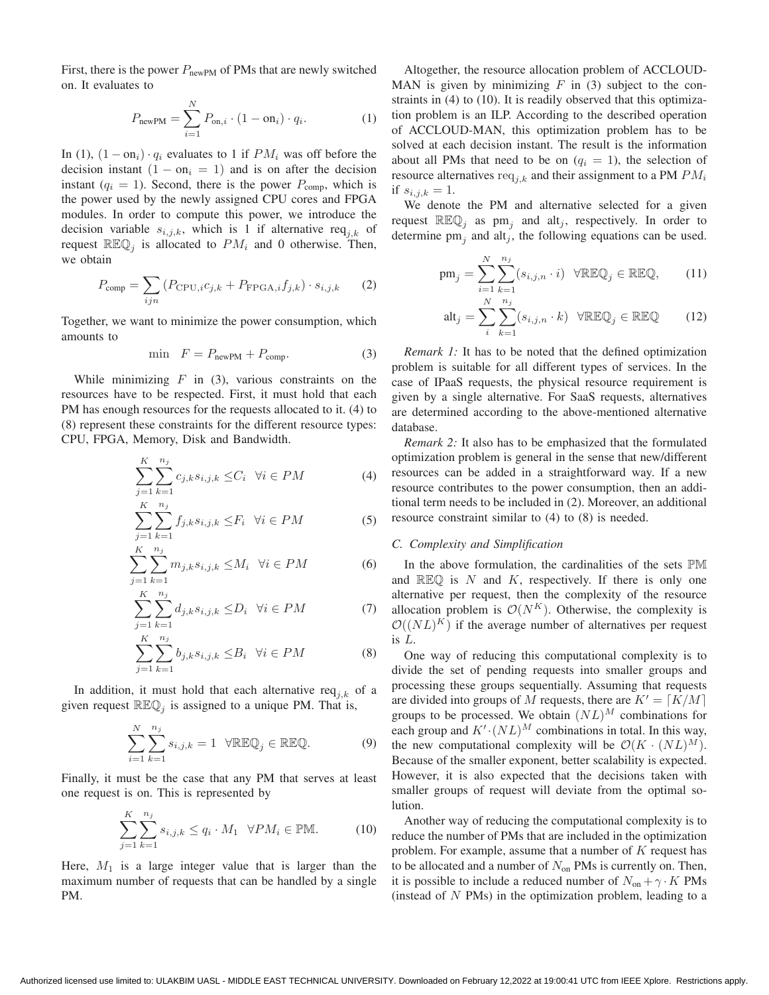First, there is the power  $P_{\text{newPM}}$  of PMs that are newly switched on. It evaluates to

$$
P_{\text{newPM}} = \sum_{i=1}^{N} P_{\text{on},i} \cdot (1 - \text{on}_i) \cdot q_i.
$$
 (1)

In (1),  $(1 - \text{on}_i) \cdot q_i$  evaluates to 1 if  $PM_i$  was off before the decision instant  $(1 - on_i = 1)$  and is on after the decision instant ( $q_i = 1$ ). Second, there is the power  $P_{\text{comp}}$ , which is the power used by the newly assigned CPU cores and FPGA modules. In order to compute this power, we introduce the decision variable  $s_{i,j,k}$ , which is 1 if alternative req<sub>ik</sub> of request  $\mathbb{R} \mathbb{E} \mathbb{Q}_i$  is allocated to  $PM_i$  and 0 otherwise. Then, we obtain

$$
P_{\text{comp}} = \sum_{ijn} \left( P_{\text{CPU},i} c_{j,k} + P_{\text{FPGA},i} f_{j,k} \right) \cdot s_{i,j,k} \tag{2}
$$

Together, we want to minimize the power consumption, which amounts to

$$
\min \quad F = P_{\text{newPM}} + P_{\text{comp}}.\tag{3}
$$

While minimizing  $F$  in (3), various constraints on the resources have to be respected. First, it must hold that each PM has enough resources for the requests allocated to it. (4) to (8) represent these constraints for the different resource types: CPU, FPGA, Memory, Disk and Bandwidth.

$$
\sum_{j=1}^{K} \sum_{k=1}^{n_j} c_{j,k} s_{i,j,k} \leq C_i \quad \forall i \in PM
$$
\n(4)

$$
\sum_{j=1}^{K} \sum_{k=1}^{n_j} f_{j,k} s_{i,j,k} \leq F_i \quad \forall i \in PM \tag{5}
$$

$$
\sum_{j=1}^{K} \sum_{k=1}^{n_j} m_{j,k} s_{i,j,k} \leq M_i \quad \forall i \in PM \tag{6}
$$

$$
\sum_{j=1}^{K} \sum_{k=1}^{n_j} d_{j,k} s_{i,j,k} \le D_i \quad \forall i \in PM \tag{7}
$$

$$
\sum_{j=1}^{K} \sum_{k=1}^{n_j} b_{j,k} s_{i,j,k} \leq B_i \quad \forall i \in PM \tag{8}
$$

In addition, it must hold that each alternative re $q_{j,k}$  of a given request  $\mathbb{R} \mathbb{E} \mathbb{Q}_i$  is assigned to a unique PM. That is,

$$
\sum_{i=1}^{N} \sum_{k=1}^{n_j} s_{i,j,k} = 1 \quad \forall \mathbb{R} \mathbb{E} \mathbb{Q}_j \in \mathbb{R} \mathbb{E} \mathbb{Q}.
$$
 (9)

Finally, it must be the case that any PM that serves at least one request is on. This is represented by

$$
\sum_{j=1}^{K} \sum_{k=1}^{n_j} s_{i,j,k} \le q_i \cdot M_1 \quad \forall PM_i \in \mathbb{PM}.\tag{10}
$$

Here,  $M_1$  is a large integer value that is larger than the maximum number of requests that can be handled by a single PM.

Altogether, the resource allocation problem of ACCLOUD-MAN is given by minimizing  $F$  in (3) subject to the constraints in (4) to (10). It is readily observed that this optimization problem is an ILP. According to the described operation of ACCLOUD-MAN, this optimization problem has to be solved at each decision instant. The result is the information about all PMs that need to be on  $(q_i = 1)$ , the selection of resource alternatives  $req_{i,k}$  and their assignment to a PM  $PM_i$ if  $s_{i,j,k} = 1$ .

We denote the PM and alternative selected for a given request  $\mathbb{R} \mathbb{E} \mathbb{Q}_i$  as pm<sub>i</sub> and alt<sub>i</sub>, respectively. In order to determine  $pm_i$  and alt<sub>i</sub>, the following equations can be used.

$$
pm_j = \sum_{i=1}^{N} \sum_{k=1}^{n_j} (s_{i,j,n} \cdot i) \quad \forall \mathbb{R} \mathbb{E} \mathbb{Q}_j \in \mathbb{R} \mathbb{E} \mathbb{Q}, \qquad (11)
$$

$$
\mathrm{alt}_{j} = \sum_{i}^{N} \sum_{k=1}^{n_{j}} (s_{i,j,n} \cdot k) \quad \forall \mathbb{R} \mathbb{E} \mathbb{Q}_{j} \in \mathbb{R} \mathbb{E} \mathbb{Q} \tag{12}
$$

*Remark 1:* It has to be noted that the defined optimization problem is suitable for all different types of services. In the case of IPaaS requests, the physical resource requirement is given by a single alternative. For SaaS requests, alternatives are determined according to the above-mentioned alternative database.

*Remark 2:* It also has to be emphasized that the formulated optimization problem is general in the sense that new/different resources can be added in a straightforward way. If a new resource contributes to the power consumption, then an additional term needs to be included in (2). Moreover, an additional resource constraint similar to (4) to (8) is needed.

# *C. Complexity and Simplification*

In the above formulation, the cardinalities of the sets PM and  $\mathbb{REQ}$  is N and K, respectively. If there is only one alternative per request, then the complexity of the resource allocation problem is  $\mathcal{O}(N^K)$ . Otherwise, the complexity is  $\mathcal{O}((NL)^K)$  if the average number of alternatives per request is L.

One way of reducing this computational complexity is to divide the set of pending requests into smaller groups and processing these groups sequentially. Assuming that requests are divided into groups of M requests, there are  $K' = \lceil K/M \rceil$ groups to be processed. We obtain  $(NL)^M$  combinations for each group and  $K'(NL)^M$  combinations in total. In this way, the new computational complexity will be  $\mathcal{O}(K \cdot (NL)^M)$ . Because of the smaller exponent, better scalability is expected. However, it is also expected that the decisions taken with smaller groups of request will deviate from the optimal solution.

Another way of reducing the computational complexity is to reduce the number of PMs that are included in the optimization problem. For example, assume that a number of  $K$  request has to be allocated and a number of  $N_{on}$  PMs is currently on. Then, it is possible to include a reduced number of  $N_{on} + \gamma \cdot K$  PMs (instead of  $N$  PMs) in the optimization problem, leading to a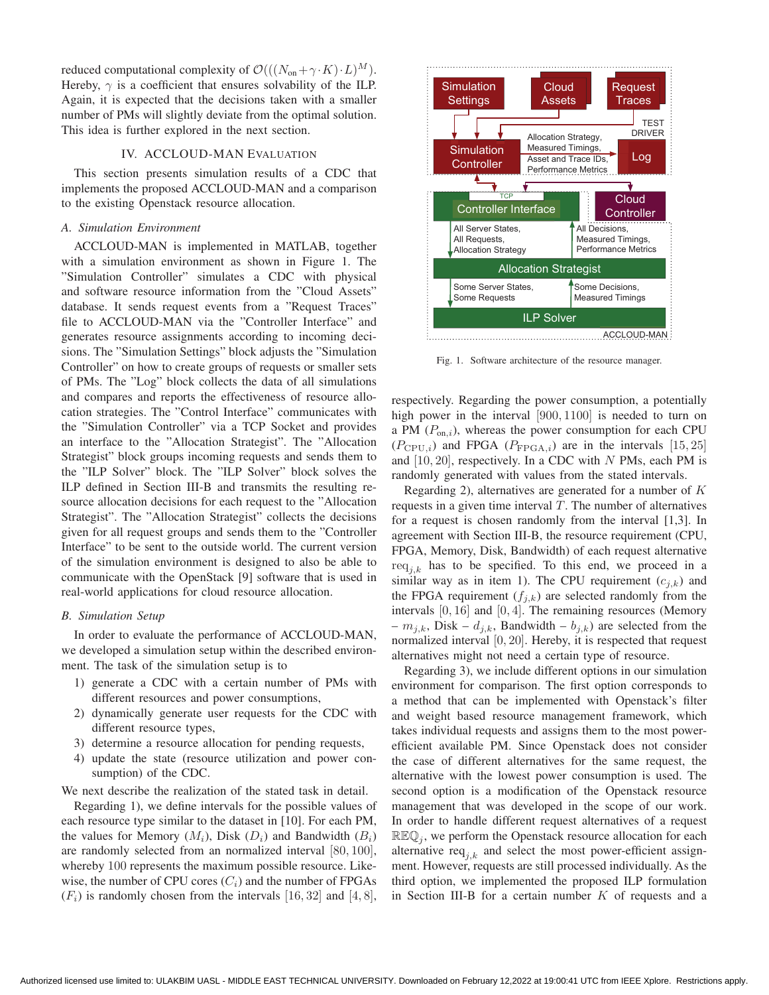reduced computational complexity of  $\mathcal{O}(((N_{\text{on}} + \gamma \cdot K) \cdot L)^M)$ . Hereby,  $\gamma$  is a coefficient that ensures solvability of the ILP. Again, it is expected that the decisions taken with a smaller number of PMs will slightly deviate from the optimal solution. This idea is further explored in the next section.

# IV. ACCLOUD-MAN EVALUATION

This section presents simulation results of a CDC that implements the proposed ACCLOUD-MAN and a comparison to the existing Openstack resource allocation.

## *A. Simulation Environment*

ACCLOUD-MAN is implemented in MATLAB, together with a simulation environment as shown in Figure 1. The "Simulation Controller" simulates a CDC with physical and software resource information from the "Cloud Assets" database. It sends request events from a "Request Traces" file to ACCLOUD-MAN via the "Controller Interface" and generates resource assignments according to incoming decisions. The "Simulation Settings" block adjusts the "Simulation Controller" on how to create groups of requests or smaller sets of PMs. The "Log" block collects the data of all simulations and compares and reports the effectiveness of resource allocation strategies. The "Control Interface" communicates with the "Simulation Controller" via a TCP Socket and provides an interface to the "Allocation Strategist". The "Allocation Strategist" block groups incoming requests and sends them to the "ILP Solver" block. The "ILP Solver" block solves the ILP defined in Section III-B and transmits the resulting resource allocation decisions for each request to the "Allocation Strategist". The "Allocation Strategist" collects the decisions given for all request groups and sends them to the "Controller Interface" to be sent to the outside world. The current version of the simulation environment is designed to also be able to communicate with the OpenStack [9] software that is used in real-world applications for cloud resource allocation.

#### *B. Simulation Setup*

In order to evaluate the performance of ACCLOUD-MAN, we developed a simulation setup within the described environment. The task of the simulation setup is to

- 1) generate a CDC with a certain number of PMs with different resources and power consumptions,
- 2) dynamically generate user requests for the CDC with different resource types,
- 3) determine a resource allocation for pending requests,
- 4) update the state (resource utilization and power consumption) of the CDC.

We next describe the realization of the stated task in detail.

Regarding 1), we define intervals for the possible values of each resource type similar to the dataset in [10]. For each PM, the values for Memory  $(M_i)$ , Disk  $(D_i)$  and Bandwidth  $(B_i)$ are randomly selected from an normalized interval [80, 100], whereby 100 represents the maximum possible resource. Likewise, the number of CPU cores  $(C_i)$  and the number of FPGAs  $(F_i)$  is randomly chosen from the intervals [16, 32] and [4, 8],



Fig. 1. Software architecture of the resource manager.

respectively. Regarding the power consumption, a potentially high power in the interval [900, 1100] is needed to turn on a PM  $(P_{\text{on},i})$ , whereas the power consumption for each CPU  $(P_{\text{CPU},i})$  and FPGA  $(P_{\text{FPGA},i})$  are in the intervals [15, 25] and  $[10, 20]$ , respectively. In a CDC with N PMs, each PM is randomly generated with values from the stated intervals.

Regarding 2), alternatives are generated for a number of  $K$ requests in a given time interval  $T$ . The number of alternatives for a request is chosen randomly from the interval [1,3]. In agreement with Section III-B, the resource requirement (CPU, FPGA, Memory, Disk, Bandwidth) of each request alternative req<sub>i,k</sub> has to be specified. To this end, we proceed in a similar way as in item 1). The CPU requirement  $(c_{j,k})$  and the FPGA requirement  $(f_{i,k})$  are selected randomly from the intervals  $[0, 16]$  and  $[0, 4]$ . The remaining resources (Memory –  $m_{i,k}$ , Disk –  $d_{i,k}$ , Bandwidth –  $b_{i,k}$ ) are selected from the normalized interval [0, 20]. Hereby, it is respected that request alternatives might not need a certain type of resource.

Regarding 3), we include different options in our simulation environment for comparison. The first option corresponds to a method that can be implemented with Openstack's filter and weight based resource management framework, which takes individual requests and assigns them to the most powerefficient available PM. Since Openstack does not consider the case of different alternatives for the same request, the alternative with the lowest power consumption is used. The second option is a modification of the Openstack resource management that was developed in the scope of our work. In order to handle different request alternatives of a request  $\mathbb{R} \mathbb{E} \mathbb{Q}_i$ , we perform the Openstack resource allocation for each alternative req<sub>ik</sub> and select the most power-efficient assignment. However, requests are still processed individually. As the third option, we implemented the proposed ILP formulation in Section III-B for a certain number  $K$  of requests and a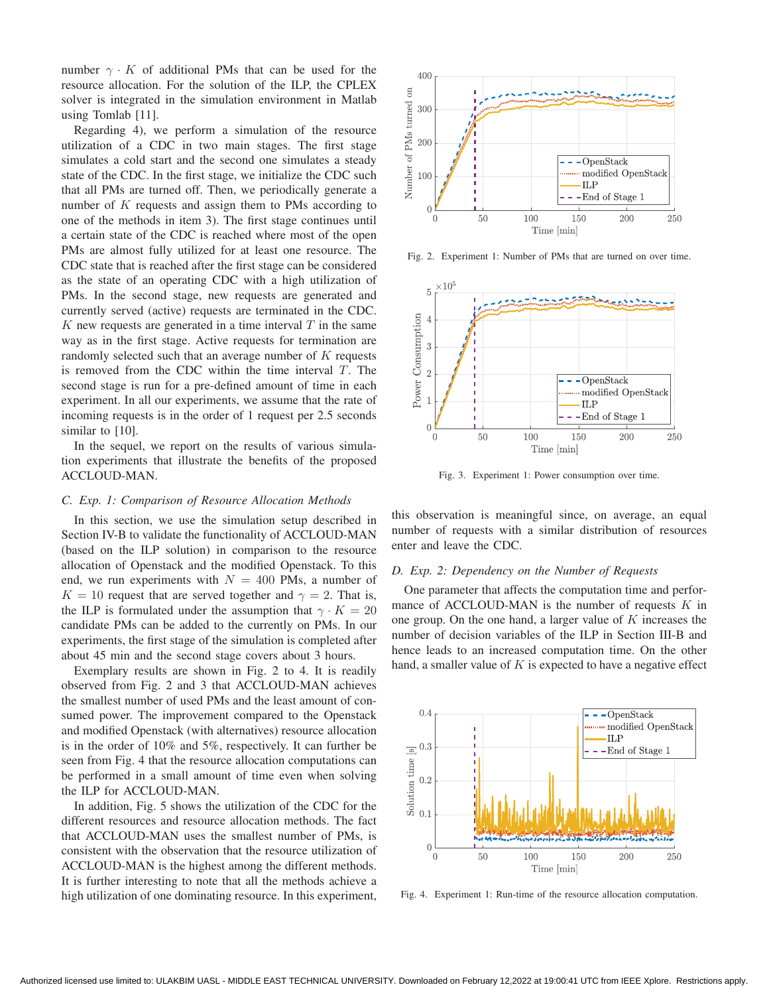number  $\gamma \cdot K$  of additional PMs that can be used for the resource allocation. For the solution of the ILP, the CPLEX solver is integrated in the simulation environment in Matlab using Tomlab [11].

Regarding 4), we perform a simulation of the resource utilization of a CDC in two main stages. The first stage simulates a cold start and the second one simulates a steady state of the CDC. In the first stage, we initialize the CDC such that all PMs are turned off. Then, we periodically generate a number of  $K$  requests and assign them to PMs according to one of the methods in item 3). The first stage continues until a certain state of the CDC is reached where most of the open PMs are almost fully utilized for at least one resource. The CDC state that is reached after the first stage can be considered as the state of an operating CDC with a high utilization of PMs. In the second stage, new requests are generated and currently served (active) requests are terminated in the CDC.  $K$  new requests are generated in a time interval  $T$  in the same way as in the first stage. Active requests for termination are randomly selected such that an average number of  $K$  requests is removed from the CDC within the time interval  $T$ . The second stage is run for a pre-defined amount of time in each experiment. In all our experiments, we assume that the rate of incoming requests is in the order of 1 request per 2.5 seconds similar to [10].

In the sequel, we report on the results of various simulation experiments that illustrate the benefits of the proposed ACCLOUD-MAN.

# *C. Exp. 1: Comparison of Resource Allocation Methods*

In this section, we use the simulation setup described in Section IV-B to validate the functionality of ACCLOUD-MAN (based on the ILP solution) in comparison to the resource allocation of Openstack and the modified Openstack. To this end, we run experiments with  $N = 400$  PMs, a number of  $K = 10$  request that are served together and  $\gamma = 2$ . That is, the ILP is formulated under the assumption that  $\gamma \cdot K = 20$ candidate PMs can be added to the currently on PMs. In our experiments, the first stage of the simulation is completed after about 45 min and the second stage covers about 3 hours.

Exemplary results are shown in Fig. 2 to 4. It is readily observed from Fig. 2 and 3 that ACCLOUD-MAN achieves the smallest number of used PMs and the least amount of consumed power. The improvement compared to the Openstack and modified Openstack (with alternatives) resource allocation is in the order of 10% and 5%, respectively. It can further be seen from Fig. 4 that the resource allocation computations can be performed in a small amount of time even when solving the ILP for ACCLOUD-MAN.

In addition, Fig. 5 shows the utilization of the CDC for the different resources and resource allocation methods. The fact that ACCLOUD-MAN uses the smallest number of PMs, is consistent with the observation that the resource utilization of ACCLOUD-MAN is the highest among the different methods. It is further interesting to note that all the methods achieve a high utilization of one dominating resource. In this experiment,



Fig. 2. Experiment 1: Number of PMs that are turned on over time.



Fig. 3. Experiment 1: Power consumption over time.

this observation is meaningful since, on average, an equal number of requests with a similar distribution of resources enter and leave the CDC.

# *D. Exp. 2: Dependency on the Number of Requests*

One parameter that affects the computation time and performance of ACCLOUD-MAN is the number of requests  $K$  in one group. On the one hand, a larger value of  $K$  increases the number of decision variables of the ILP in Section III-B and hence leads to an increased computation time. On the other hand, a smaller value of  $K$  is expected to have a negative effect



Fig. 4. Experiment 1: Run-time of the resource allocation computation.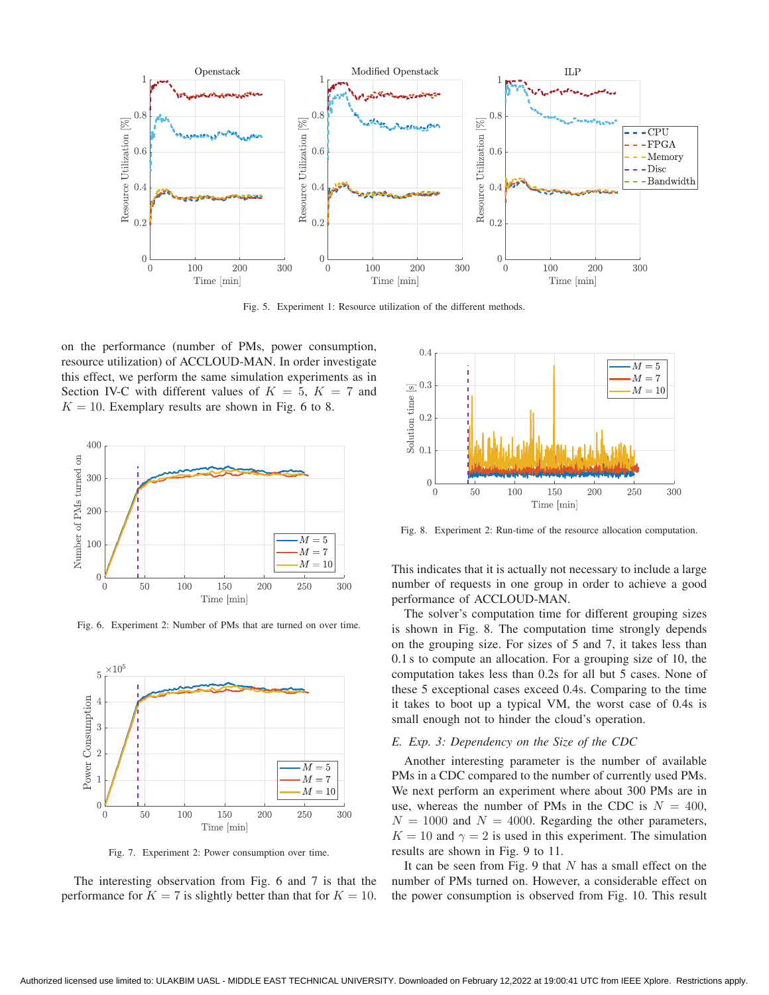

Fig. 5. Experiment 1: Resource utilization of the different methods.

on the performance (number of PMs, power consumption, resource utilization) of ACCLOUD-MAN. In order investigate this effect, we perform the same simulation experiments as in Section IV-C with different values of  $K = 5$ ,  $K = 7$  and  $K = 10$ . Exemplary results are shown in Fig. 6 to 8.



Fig. 6. Experiment 2: Number of PMs that are turned on over time.



Fig. 7. Experiment 2: Power consumption over time.

The interesting observation from Fig. 6 and 7 is that the performance for  $K = 7$  is slightly better than that for  $K = 10$ .



Fig. 8. Experiment 2: Run-time of the resource allocation computation.

This indicates that it is actually not necessary to include a large number of requests in one group in order to achieve a good performance of ACCLOUD-MAN.

The solver's computation time for different grouping sizes is shown in Fig. 8. The computation time strongly depends on the grouping size. For sizes of 5 and 7, it takes less than 0.1 s to compute an allocation. For a grouping size of 10, the computation takes less than 0.2s for all but 5 cases. None of these 5 exceptional cases exceed 0.4s. Comparing to the time it takes to boot up a typical VM, the worst case of 0.4s is small enough not to hinder the cloud's operation.

#### *E. Exp. 3: Dependency on the Size of the CDC*

Another interesting parameter is the number of available PMs in a CDC compared to the number of currently used PMs. We next perform an experiment where about 300 PMs are in use, whereas the number of PMs in the CDC is  $N = 400$ ,  $N = 1000$  and  $N = 4000$ . Regarding the other parameters,  $K = 10$  and  $\gamma = 2$  is used in this experiment. The simulation results are shown in Fig. 9 to 11.

It can be seen from Fig. 9 that  $N$  has a small effect on the number of PMs turned on. However, a considerable effect on the power consumption is observed from Fig. 10. This result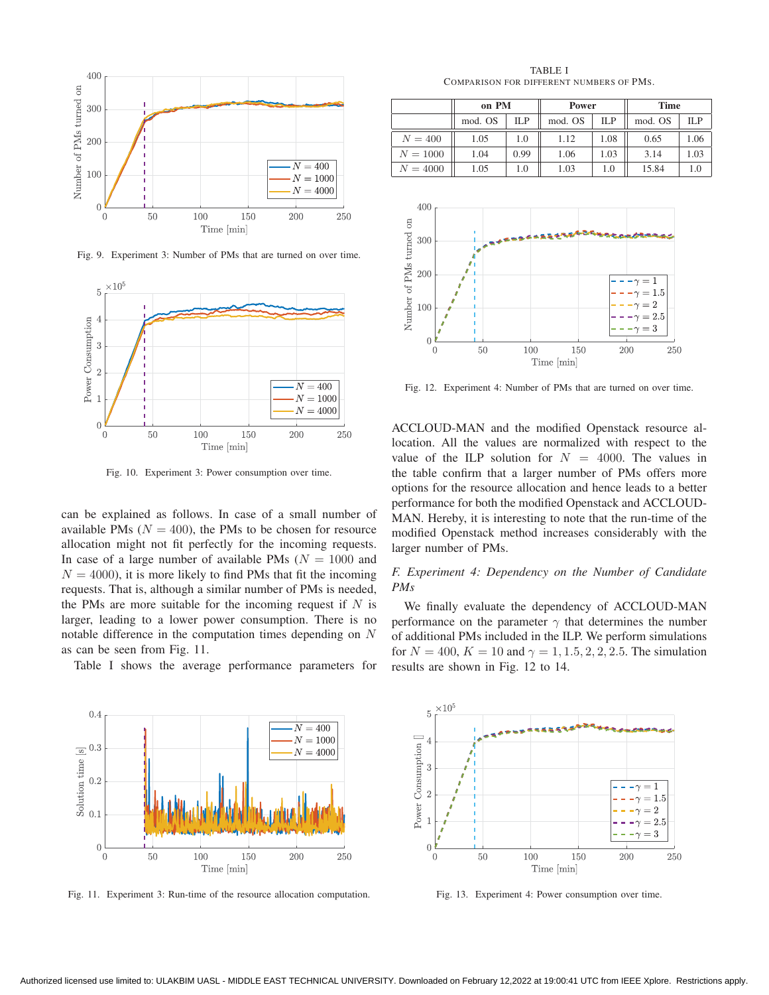

Fig. 9. Experiment 3: Number of PMs that are turned on over time.



Fig. 10. Experiment 3: Power consumption over time.

can be explained as follows. In case of a small number of available PMs ( $N = 400$ ), the PMs to be chosen for resource allocation might not fit perfectly for the incoming requests. In case of a large number of available PMs ( $N = 1000$  and  $N = 4000$ , it is more likely to find PMs that fit the incoming requests. That is, although a similar number of PMs is needed, the PMs are more suitable for the incoming request if  $N$  is larger, leading to a lower power consumption. There is no notable difference in the computation times depending on N as can be seen from Fig. 11.

Table I shows the average performance parameters for



Fig. 11. Experiment 3: Run-time of the resource allocation computation.

TABLE I COMPARISON FOR DIFFERENT NUMBERS OF PMS.

|            | on PM   |      | Power   |      | <b>Time</b> |      |
|------------|---------|------|---------|------|-------------|------|
|            | mod. OS | ILP  | mod. OS | ILP  | mod. OS     | ILP  |
| $N = 400$  | 1.05    | 1.0  | 1.12    | 1.08 | 0.65        | 1.06 |
| $N = 1000$ | 1.04    | 0.99 | 1.06    | 1.03 | 3.14        | 1.03 |
| $N = 4000$ | 1.05    | 1.0  | 1.03    | 1.0  | 15.84       |      |



Fig. 12. Experiment 4: Number of PMs that are turned on over time.

ACCLOUD-MAN and the modified Openstack resource allocation. All the values are normalized with respect to the value of the ILP solution for  $N = 4000$ . The values in the table confirm that a larger number of PMs offers more options for the resource allocation and hence leads to a better performance for both the modified Openstack and ACCLOUD-MAN. Hereby, it is interesting to note that the run-time of the modified Openstack method increases considerably with the larger number of PMs.

# *F. Experiment 4: Dependency on the Number of Candidate PMs*

We finally evaluate the dependency of ACCLOUD-MAN performance on the parameter  $\gamma$  that determines the number of additional PMs included in the ILP. We perform simulations for  $N = 400$ ,  $K = 10$  and  $\gamma = 1, 1.5, 2, 2, 2.5$ . The simulation results are shown in Fig. 12 to 14.



Fig. 13. Experiment 4: Power consumption over time.